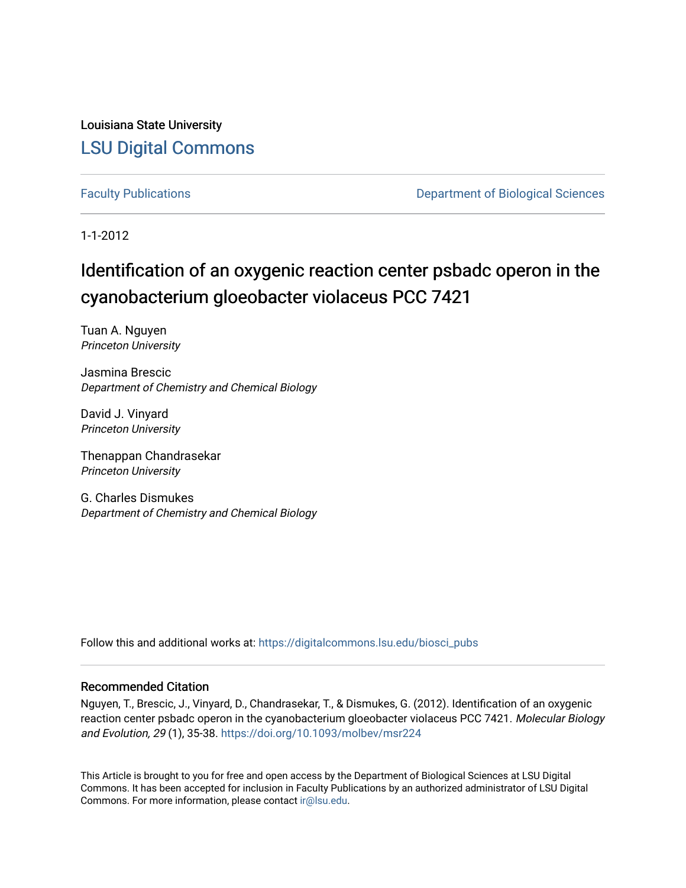Louisiana State University [LSU Digital Commons](https://digitalcommons.lsu.edu/)

[Faculty Publications](https://digitalcommons.lsu.edu/biosci_pubs) **Exercise 2 and Table 2 and Table 2 and Table 2 and Table 2 and Table 2 and Table 2 and Table 2 and Table 2 and Table 2 and Table 2 and Table 2 and Table 2 and Table 2 and Table 2 and Table 2 and Table** 

1-1-2012

# Identification of an oxygenic reaction center psbadc operon in the cyanobacterium gloeobacter violaceus PCC 7421

Tuan A. Nguyen Princeton University

Jasmina Brescic Department of Chemistry and Chemical Biology

David J. Vinyard Princeton University

Thenappan Chandrasekar Princeton University

G. Charles Dismukes Department of Chemistry and Chemical Biology

Follow this and additional works at: [https://digitalcommons.lsu.edu/biosci\\_pubs](https://digitalcommons.lsu.edu/biosci_pubs?utm_source=digitalcommons.lsu.edu%2Fbiosci_pubs%2F3408&utm_medium=PDF&utm_campaign=PDFCoverPages)

#### Recommended Citation

Nguyen, T., Brescic, J., Vinyard, D., Chandrasekar, T., & Dismukes, G. (2012). Identification of an oxygenic reaction center psbadc operon in the cyanobacterium gloeobacter violaceus PCC 7421. Molecular Biology and Evolution, 29 (1), 35-38.<https://doi.org/10.1093/molbev/msr224>

This Article is brought to you for free and open access by the Department of Biological Sciences at LSU Digital Commons. It has been accepted for inclusion in Faculty Publications by an authorized administrator of LSU Digital Commons. For more information, please contact [ir@lsu.edu](mailto:ir@lsu.edu).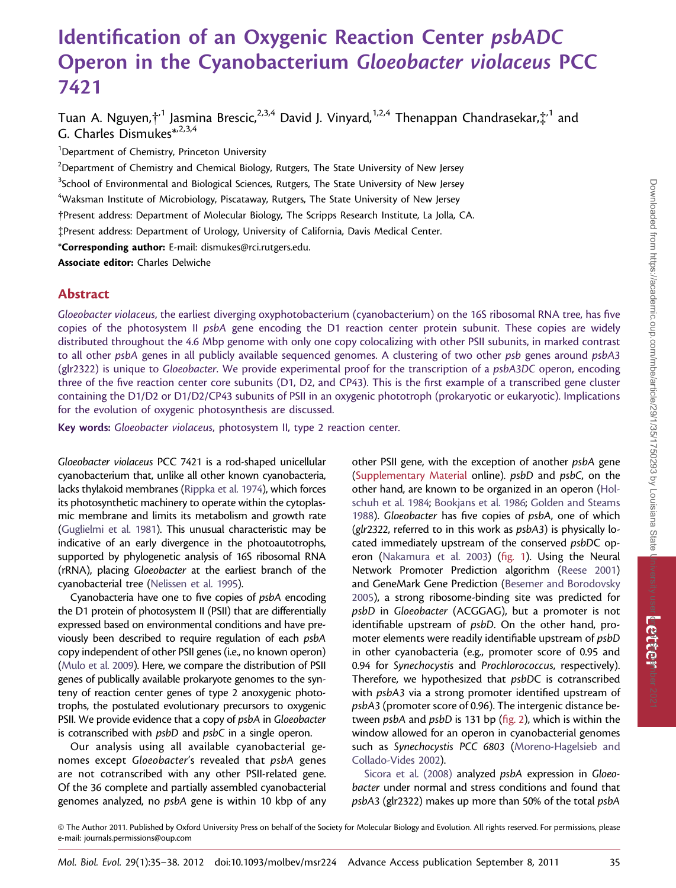# Identification of an Oxygenic Reaction Center psbADC Operon in the Cyanobacterium Gloeobacter violaceus PCC 7421

Tuan A. Nguyen,†<sup>,1</sup> Jasmina Brescic,<sup>2,3,4</sup> David J. Vinyard,<sup>1,2,4</sup> Thenappan Chandrasekar,‡<sup>,1</sup> and G. Charles Dismukes\*,2,3,4

<sup>1</sup>Department of Chemistry, Princeton University

 $^2$ Department of Chemistry and Chemical Biology, Rutgers, The State University of New Jersey

<sup>3</sup>School of Environmental and Biological Sciences, Rutgers, The State University of New Jersey

 $\mathrm{^4}$ Waksman Institute of Microbiology, Piscataway, Rutgers, The State University of New Jersey

Present address: Department of Molecular Biology, The Scripps Research Institute, La Jolla, CA.

-Present address: Department of Urology, University of California, Davis Medical Center.

\*Corresponding author: E-mail: dismukes@rci.rutgers.edu.

Associate editor: Charles Delwiche

#### Abstract

Gloeobacter violaceus, the earliest diverging oxyphotobacterium (cyanobacterium) on the 16S ribosomal RNA tree, has five copies of the photosystem II psbA gene encoding the D1 reaction center protein subunit. These copies are widely distributed throughout the 4.6 Mbp genome with only one copy colocalizing with other PSII subunits, in marked contrast to all other psbA genes in all publicly available sequenced genomes. A clustering of two other psb genes around psbA3 (glr2322) is unique to Gloeobacter. We provide experimental proof for the transcription of a psbA3DC operon, encoding three of the five reaction center core subunits (D1, D2, and CP43). This is the first example of a transcribed gene cluster containing the D1/D2 or D1/D2/CP43 subunits of PSII in an oxygenic phototroph (prokaryotic or eukaryotic). Implications for the evolution of oxygenic photosynthesis are discussed.

Key words: Gloeobacter violaceus, photosystem II, type 2 reaction center.

Gloeobacter violaceus PCC 7421 is a rod-shaped unicellular cyanobacterium that, unlike all other known cyanobacteria, lacks thylakoid membranes [\(Rippka et al. 1974\)](#page-4-0), which forces its photosynthetic machinery to operate within the cytoplasmic membrane and limits its metabolism and growth rate [\(Guglielmi et al. 1981\)](#page-4-0). This unusual characteristic may be indicative of an early divergence in the photoautotrophs, supported by phylogenetic analysis of 16S ribosomal RNA (rRNA), placing Gloeobacter at the earliest branch of the cyanobacterial tree ([Nelissen et al. 1995](#page-4-0)).

Cyanobacteria have one to five copies of psbA encoding the D1 protein of photosystem II (PSII) that are differentially expressed based on environmental conditions and have previously been described to require regulation of each psbA copy independent of other PSII genes (i.e., no known operon) [\(Mulo et al. 2009\)](#page-4-0). Here, we compare the distribution of PSII genes of publically available prokaryote genomes to the synteny of reaction center genes of type 2 anoxygenic phototrophs, the postulated evolutionary precursors to oxygenic PSII. We provide evidence that a copy of psbA in Gloeobacter is cotranscribed with *psbD* and *psbC* in a single operon.

Our analysis using all available cyanobacterial genomes except Gloeobacter's revealed that psbA genes are not cotranscribed with any other PSII-related gene. Of the 36 complete and partially assembled cyanobacterial genomes analyzed, no psbA gene is within 10 kbp of any other PSII gene, with the exception of another psbA gene [\(Supplementary Material](http://www.mbe.oxfordjournals.org/lookup/suppl/doi:10.1093/molbev/msr224/-/DC1) online). psbD and psbC, on the other hand, are known to be organized in an operon ([Hol](#page-4-0)[schuh et al. 1984;](#page-4-0) [Bookjans et al. 1986;](#page-4-0) [Golden and Steams](#page-4-0) [1988\)](#page-4-0). Gloeobacter has five copies of psbA, one of which (glr2322, referred to in this work as psbA3) is physically located immediately upstream of the conserved psbDC operon [\(Nakamura et al. 2003\)](#page-4-0) (fig. 1). Using the Neural Network Promoter Prediction algorithm [\(Reese 2001\)](#page-4-0) and GeneMark Gene Prediction ([Besemer and Borodovsky](#page-4-0) [2005\)](#page-4-0), a strong ribosome-binding site was predicted for psbD in Gloeobacter (ACGGAG), but a promoter is not identifiable upstream of psbD. On the other hand, promoter elements were readily identifiable upstream of psbD in other cyanobacteria (e.g., promoter score of 0.95 and 0.94 for Synechocystis and Prochlorococcus, respectively). Therefore, we hypothesized that psbDC is cotranscribed with *psbA3* via a strong promoter identified upstream of psbA3 (promoter score of 0.96). The intergenic distance between psbA and psbD is 131 bp (fig. 2), which is within the window allowed for an operon in cyanobacterial genomes such as Synechocystis PCC 6803 [\(Moreno-Hagelsieb and](#page-4-0) [Collado-Vides 2002\)](#page-4-0).

[Sicora et al. \(2008\)](#page-4-0) analyzed psbA expression in Gloeobacter under normal and stress conditions and found that psbA3 (glr2322) makes up more than 50% of the total psbA

<sup>©</sup> The Author 2011. Published by Oxford University Press on behalf of the Society for Molecular Biology and Evolution. All rights reserved. For permissions, please e-mail: journals.permissions@oup.com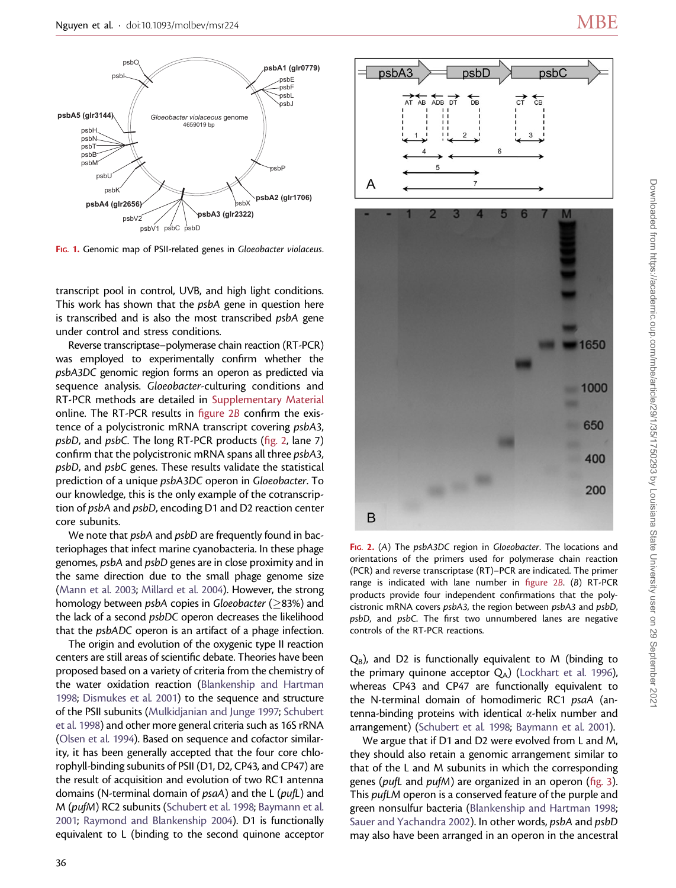

FIG. 1. Genomic map of PSII-related genes in Gloeobacter violaceus.

transcript pool in control, UVB, and high light conditions. This work has shown that the psbA gene in question here is transcribed and is also the most transcribed psbA gene under control and stress conditions.

Reverse transcriptase–polymerase chain reaction (RT-PCR) was employed to experimentally confirm whether the psbA3DC genomic region forms an operon as predicted via sequence analysis. Gloeobacter-culturing conditions and RT-PCR methods are detailed in [Supplementary Material](http://www.mbe.oxfordjournals.org/lookup/suppl/doi:10.1093/molbev/msr224/-/DC1) online. The RT-PCR results in figure 2B confirm the existence of a polycistronic mRNA transcript covering psbA3, psbD, and psbC. The long RT-PCR products (fig. 2, lane 7) confirm that the polycistronic mRNA spans all three psbA3, psbD, and psbC genes. These results validate the statistical prediction of a unique psbA3DC operon in Gloeobacter. To our knowledge, this is the only example of the cotranscription of psbA and psbD, encoding D1 and D2 reaction center core subunits.

We note that *psbA* and *psbD* are frequently found in bacteriophages that infect marine cyanobacteria. In these phage genomes, psbA and psbD genes are in close proximity and in the same direction due to the small phage genome size [\(Mann et al. 2003;](#page-4-0) [Millard et al. 2004](#page-4-0)). However, the strong homology between *psbA* copies in *Gloeobacter* ( $>83%$ ) and the lack of a second psbDC operon decreases the likelihood that the psbADC operon is an artifact of a phage infection.

The origin and evolution of the oxygenic type II reaction centers are still areas of scientific debate. Theories have been proposed based on a variety of criteria from the chemistry of the water oxidation reaction [\(Blankenship and Hartman](#page-4-0) [1998;](#page-4-0) [Dismukes et al. 2001](#page-4-0)) to the sequence and structure of the PSII subunits ([Mulkidjanian and Junge 1997;](#page-4-0) [Schubert](#page-4-0) [et al. 1998](#page-4-0)) and other more general criteria such as 16S rRNA [\(Olsen et al. 1994\)](#page-4-0). Based on sequence and cofactor similarity, it has been generally accepted that the four core chlorophyll-binding subunits of PSII (D1, D2, CP43, and CP47) are the result of acquisition and evolution of two RC1 antenna domains (N-terminal domain of psaA) and the L (pufL) and M (pufM) RC2 subunits ([Schubert et al. 1998;](#page-4-0) [Baymann et al.](#page-4-0) [2001;](#page-4-0) [Raymond and Blankenship 2004\)](#page-4-0). D1 is functionally equivalent to L (binding to the second quinone acceptor



psbD

 $\sum_{\mathbf{p}}$ 

psbA3

AT AB ADB 淸

FIG. 2. (A) The psbA3DC region in Gloeobacter. The locations and orientations of the primers used for polymerase chain reaction (PCR) and reverse transcriptase (RT)–PCR are indicated. The primer range is indicated with lane number in figure 2B. (B) RT-PCR products provide four independent confirmations that the polycistronic mRNA covers psbA3, the region between psbA3 and psbD, psbD, and psbC. The first two unnumbered lanes are negative controls of the RT-PCR reactions.

 $Q_B$ ), and D2 is functionally equivalent to M (binding to the primary quinone acceptor  $Q_A$ ) ([Lockhart et al. 1996](#page-4-0)), whereas CP43 and CP47 are functionally equivalent to the N-terminal domain of homodimeric RC1 psaA (antenna-binding proteins with identical *a*-helix number and arrangement) ([Schubert et al. 1998](#page-4-0); [Baymann et al. 2001\)](#page-4-0).

We argue that if D1 and D2 were evolved from L and M, they should also retain a genomic arrangement similar to that of the L and M subunits in which the corresponding genes (pufL and pufM) are organized in an operon (fig. 3). This pufLM operon is a conserved feature of the purple and green nonsulfur bacteria ([Blankenship and Hartman 1998](#page-4-0); [Sauer and Yachandra 2002](#page-4-0)). In other words, psbA and psbD may also have been arranged in an operon in the ancestral

psbC

 $\overline{C}$  $\sum_{i=1}^{n}$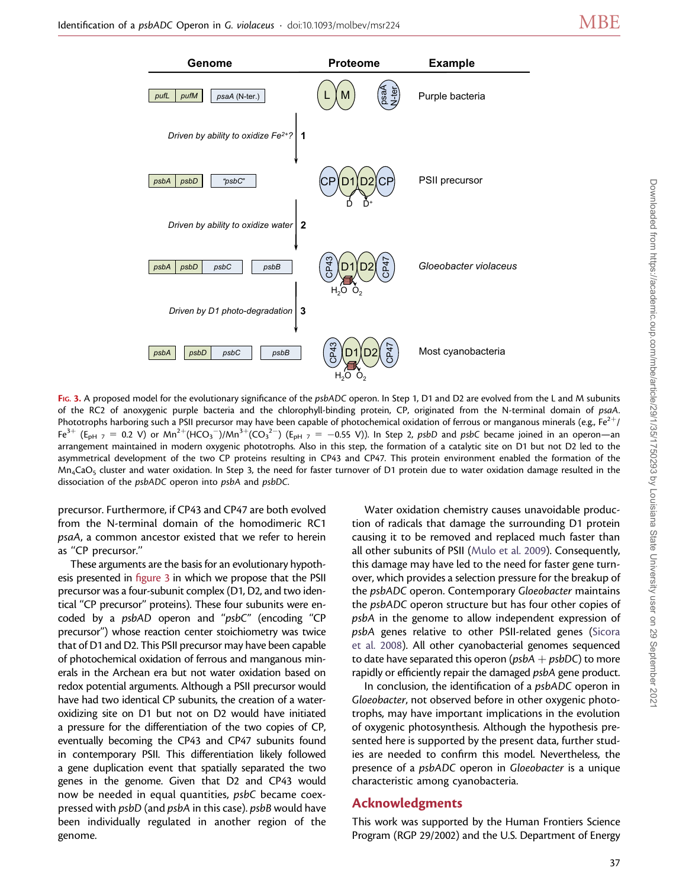

FIG. 3. A proposed model for the evolutionary significance of the psbADC operon. In Step 1, D1 and D2 are evolved from the L and M subunits of the RC2 of anoxygenic purple bacteria and the chlorophyll-binding protein, CP, originated from the N-terminal domain of psaA. Phototrophs harboring such a PSII precursor may have been capable of photochemical oxidation of ferrous or manganous minerals (e.g.,  $Fe^{2+}$ / Fe<sup>3+</sup> (E<sub>pH 7</sub> = 0.2 V) or Mn<sup>2+</sup>(HCO<sub>3</sub><sup>-</sup>)/Mn<sup>3+</sup>(CO<sub>3</sub><sup>2-</sup>) (E<sub>pH 7</sub> = -0.55 V)). In Step 2, psbD and psbC became joined in an operon—an arrangement maintained in modern oxygenic phototrophs. Also in this step, the formation of a catalytic site on D1 but not D2 led to the asymmetrical development of the two CP proteins resulting in CP43 and CP47. This protein environment enabled the formation of the  $Mn_4$ CaO<sub>5</sub> cluster and water oxidation. In Step 3, the need for faster turnover of D1 protein due to water oxidation damage resulted in the dissociation of the psbADC operon into psbA and psbDC.

precursor. Furthermore, if CP43 and CP47 are both evolved from the N-terminal domain of the homodimeric RC1 psaA, a common ancestor existed that we refer to herein as ''CP precursor.''

These arguments are the basis for an evolutionary hypothesis presented in figure 3 in which we propose that the PSII precursor was a four-subunit complex (D1, D2, and two identical ''CP precursor'' proteins). These four subunits were encoded by a psbAD operon and ''psbC'' (encoding ''CP precursor'') whose reaction center stoichiometry was twice that of D1 and D2. This PSII precursor may have been capable of photochemical oxidation of ferrous and manganous minerals in the Archean era but not water oxidation based on redox potential arguments. Although a PSII precursor would have had two identical CP subunits, the creation of a wateroxidizing site on D1 but not on D2 would have initiated a pressure for the differentiation of the two copies of CP, eventually becoming the CP43 and CP47 subunits found in contemporary PSII. This differentiation likely followed a gene duplication event that spatially separated the two genes in the genome. Given that D2 and CP43 would now be needed in equal quantities, psbC became coexpressed with psbD (and psbA in this case). psbB would have been individually regulated in another region of the genome.

Water oxidation chemistry causes unavoidable production of radicals that damage the surrounding D1 protein causing it to be removed and replaced much faster than all other subunits of PSII [\(Mulo et al. 2009\)](#page-4-0). Consequently, this damage may have led to the need for faster gene turnover, which provides a selection pressure for the breakup of the psbADC operon. Contemporary Gloeobacter maintains the psbADC operon structure but has four other copies of psbA in the genome to allow independent expression of psbA genes relative to other PSII-related genes ([Sicora](#page-4-0) [et al. 2008](#page-4-0)). All other cyanobacterial genomes sequenced to date have separated this operon ( $psbA + psbDC$ ) to more rapidly or efficiently repair the damaged psbA gene product.

In conclusion, the identification of a psbADC operon in Gloeobacter, not observed before in other oxygenic phototrophs, may have important implications in the evolution of oxygenic photosynthesis. Although the hypothesis presented here is supported by the present data, further studies are needed to confirm this model. Nevertheless, the presence of a psbADC operon in Gloeobacter is a unique characteristic among cyanobacteria.

## Acknowledgments

This work was supported by the Human Frontiers Science Program (RGP 29/2002) and the U.S. Department of Energy